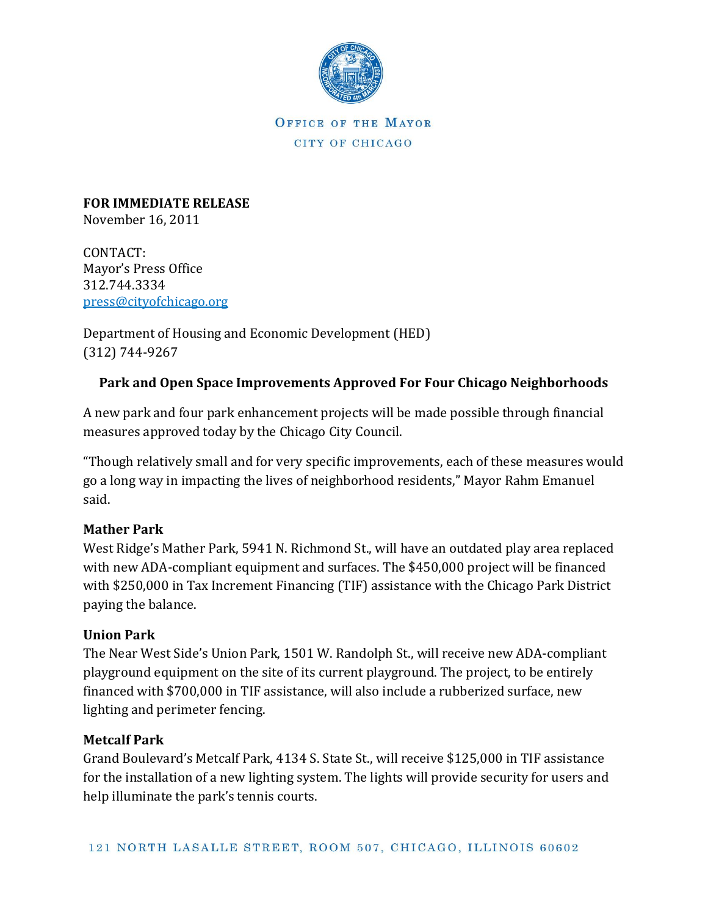

OFFICE OF THE MAYOR CITY OF CHICAGO

**FOR IMMEDIATE RELEASE** November 16, 2011

CONTACT: Mayor's Press Office 312.744.3334 [press@cityofchicago.org](mailto:press@cityofchicago.org)

Department of Housing and Economic Development (HED) (312) 744-9267

# **Park and Open Space Improvements Approved For Four Chicago Neighborhoods**

A new park and four park enhancement projects will be made possible through financial measures approved today by the Chicago City Council.

"Though relatively small and for very specific improvements, each of these measures would go a long way in impacting the lives of neighborhood residents," Mayor Rahm Emanuel said.

## **Mather Park**

West Ridge's Mather Park, 5941 N. Richmond St., will have an outdated play area replaced with new ADA-compliant equipment and surfaces. The \$450,000 project will be financed with \$250,000 in Tax Increment Financing (TIF) assistance with the Chicago Park District paying the balance.

## **Union Park**

The Near West Side's Union Park, 1501 W. Randolph St., will receive new ADA-compliant playground equipment on the site of its current playground. The project, to be entirely financed with \$700,000 in TIF assistance, will also include a rubberized surface, new lighting and perimeter fencing.

## **Metcalf Park**

Grand Boulevard's Metcalf Park, 4134 S. State St., will receive \$125,000 in TIF assistance for the installation of a new lighting system. The lights will provide security for users and help illuminate the park's tennis courts.